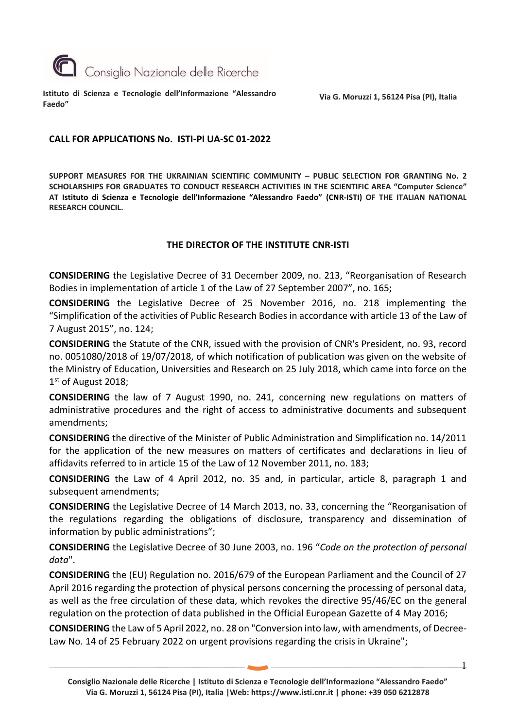

**Istituto di Scienza e Tecnologie dell'Informazione "Alessandro Faedo"**

**Via G. Moruzzi 1, 56124 Pisa (PI), Italia**

### **CALL FOR APPLICATIONS No. ISTI-PI UA-SC 01-2022**

**SUPPORT MEASURES FOR THE UKRAINIAN SCIENTIFIC COMMUNITY – PUBLIC SELECTION FOR GRANTING No. 2 SCHOLARSHIPS FOR GRADUATES TO CONDUCT RESEARCH ACTIVITIES IN THE SCIENTIFIC AREA "Computer Science" AT Istituto di Scienza e Tecnologie dell'Informazione "Alessandro Faedo" (CNR-ISTI) OF THE ITALIAN NATIONAL RESEARCH COUNCIL.**

## **THE DIRECTOR OF THE INSTITUTE CNR-ISTI**

**CONSIDERING** the Legislative Decree of 31 December 2009, no. 213, "Reorganisation of Research Bodies in implementation of article 1 of the Law of 27 September 2007", no. 165;

**CONSIDERING** the Legislative Decree of 25 November 2016, no. 218 implementing the "Simplification of the activities of Public Research Bodies in accordance with article 13 of the Law of 7 August 2015", no. 124;

**CONSIDERING** the Statute of the CNR, issued with the provision of CNR's President, no. 93, record no. 0051080/2018 of 19/07/2018, of which notification of publication was given on the website of the Ministry of Education, Universities and Research on 25 July 2018, which came into force on the 1st of August 2018;

**CONSIDERING** the law of 7 August 1990, no. 241, concerning new regulations on matters of administrative procedures and the right of access to administrative documents and subsequent amendments;

**CONSIDERING** the directive of the Minister of Public Administration and Simplification no. 14/2011 for the application of the new measures on matters of certificates and declarations in lieu of affidavits referred to in article 15 of the Law of 12 November 2011, no. 183;

**CONSIDERING** the Law of 4 April 2012, no. 35 and, in particular, article 8, paragraph 1 and subsequent amendments;

**CONSIDERING** the Legislative Decree of 14 March 2013, no. 33, concerning the "Reorganisation of the regulations regarding the obligations of disclosure, transparency and dissemination of information by public administrations";

**CONSIDERING** the Legislative Decree of 30 June 2003, no. 196 "*Code on the protection of personal data*".

**CONSIDERING** the (EU) Regulation no. 2016/679 of the European Parliament and the Council of 27 April 2016 regarding the protection of physical persons concerning the processing of personal data, as well as the free circulation of these data, which revokes the directive 95/46/EC on the general regulation on the protection of data published in the Official European Gazette of 4 May 2016;

**CONSIDERING** the Law of 5 April 2022, no. 28 on "Conversion into law, with amendments, of Decree-Law No. 14 of 25 February 2022 on urgent provisions regarding the crisis in Ukraine";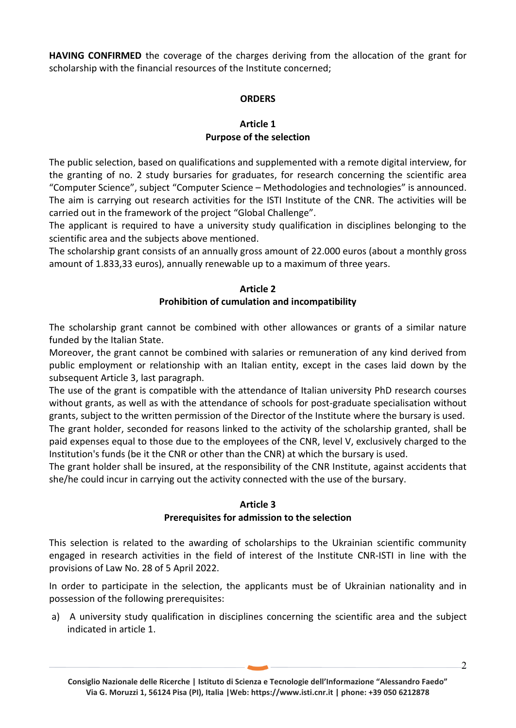**HAVING CONFIRMED** the coverage of the charges deriving from the allocation of the grant for scholarship with the financial resources of the Institute concerned;

# **ORDERS**

### **Article 1 Purpose of the selection**

The public selection, based on qualifications and supplemented with a remote digital interview, for the granting of no. 2 study bursaries for graduates, for research concerning the scientific area "Computer Science", subject "Computer Science – Methodologies and technologies" is announced. The aim is carrying out research activities for the ISTI Institute of the CNR. The activities will be carried out in the framework of the project "Global Challenge".

The applicant is required to have a university study qualification in disciplines belonging to the scientific area and the subjects above mentioned.

The scholarship grant consists of an annually gross amount of 22.000 euros (about a monthly gross amount of 1.833,33 euros), annually renewable up to a maximum of three years.

#### **Article 2 Prohibition of cumulation and incompatibility**

The scholarship grant cannot be combined with other allowances or grants of a similar nature funded by the Italian State.

Moreover, the grant cannot be combined with salaries or remuneration of any kind derived from public employment or relationship with an Italian entity, except in the cases laid down by the subsequent Article 3, last paragraph.

The use of the grant is compatible with the attendance of Italian university PhD research courses without grants, as well as with the attendance of schools for post-graduate specialisation without grants, subject to the written permission of the Director of the Institute where the bursary is used.

The grant holder, seconded for reasons linked to the activity of the scholarship granted, shall be paid expenses equal to those due to the employees of the CNR, level V, exclusively charged to the Institution's funds (be it the CNR or other than the CNR) at which the bursary is used.

The grant holder shall be insured, at the responsibility of the CNR Institute, against accidents that she/he could incur in carrying out the activity connected with the use of the bursary.

## **Article 3**

## **Prerequisites for admission to the selection**

This selection is related to the awarding of scholarships to the Ukrainian scientific community engaged in research activities in the field of interest of the Institute CNR-ISTI in line with the provisions of Law No. 28 of 5 April 2022.

In order to participate in the selection, the applicants must be of Ukrainian nationality and in possession of the following prerequisites:

a) A university study qualification in disciplines concerning the scientific area and the subject indicated in article 1.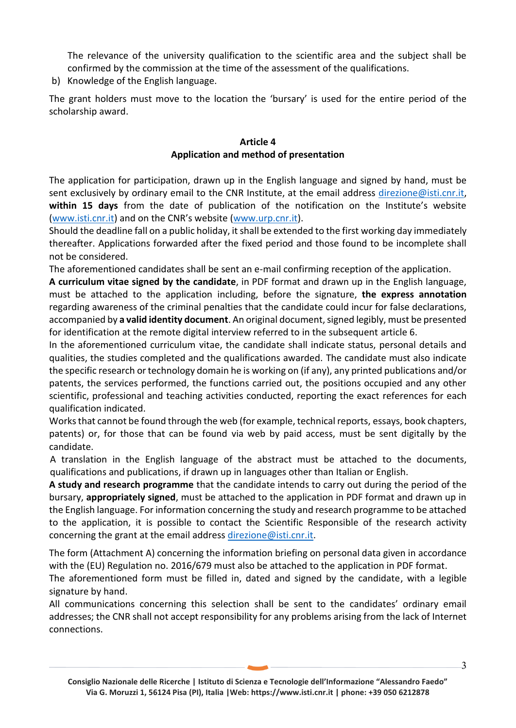The relevance of the university qualification to the scientific area and the subject shall be confirmed by the commission at the time of the assessment of the qualifications.

b) Knowledge of the English language.

The grant holders must move to the location the 'bursary' is used for the entire period of the scholarship award.

## **Article 4 Application and method of presentation**

The application for participation, drawn up in the English language and signed by hand, must be sent exclusively by ordinary email to the CNR Institute, at the email address [direzione@isti.cnr.it,](mailto:direzione@isti.cnr.it) **within 15 days** from the date of publication of the notification on the Institute's website [\(www.isti.cnr.it](http://www.isti.cnr.it/)) and on the CNR's website ([www.urp.cnr.it\)](http://www.urp.cnr.it/).

Should the deadline fall on a public holiday, it shall be extended to the first working day immediately thereafter. Applications forwarded after the fixed period and those found to be incomplete shall not be considered.

The aforementioned candidates shall be sent an e-mail confirming reception of the application.

**A curriculum vitae signed by the candidate**, in PDF format and drawn up in the English language, must be attached to the application including, before the signature, **the express annotation**  regarding awareness of the criminal penalties that the candidate could incur for false declarations, accompanied by **a valid identity document**. An original document, signed legibly, must be presented for identification at the remote digital interview referred to in the subsequent article 6.

In the aforementioned curriculum vitae, the candidate shall indicate status, personal details and qualities, the studies completed and the qualifications awarded. The candidate must also indicate the specific research or technology domain he is working on (if any), any printed publications and/or patents, the services performed, the functions carried out, the positions occupied and any other scientific, professional and teaching activities conducted, reporting the exact references for each qualification indicated.

Works that cannot be found through the web (for example, technical reports, essays, book chapters, patents) or, for those that can be found via web by paid access, must be sent digitally by the candidate.

A translation in the English language of the abstract must be attached to the documents, qualifications and publications, if drawn up in languages other than Italian or English.

**A study and research programme** that the candidate intends to carry out during the period of the bursary, **appropriately signed**, must be attached to the application in PDF format and drawn up in the English language. For information concerning the study and research programme to be attached to the application, it is possible to contact the Scientific Responsible of the research activity concerning the grant at the email address [direzione@isti.cnr.it.](mailto:direzione@isti.cnr.it)

The form (Attachment A) concerning the information briefing on personal data given in accordance with the (EU) Regulation no. 2016/679 must also be attached to the application in PDF format.

The aforementioned form must be filled in, dated and signed by the candidate, with a legible signature by hand.

All communications concerning this selection shall be sent to the candidates' ordinary email addresses; the CNR shall not accept responsibility for any problems arising from the lack of Internet connections.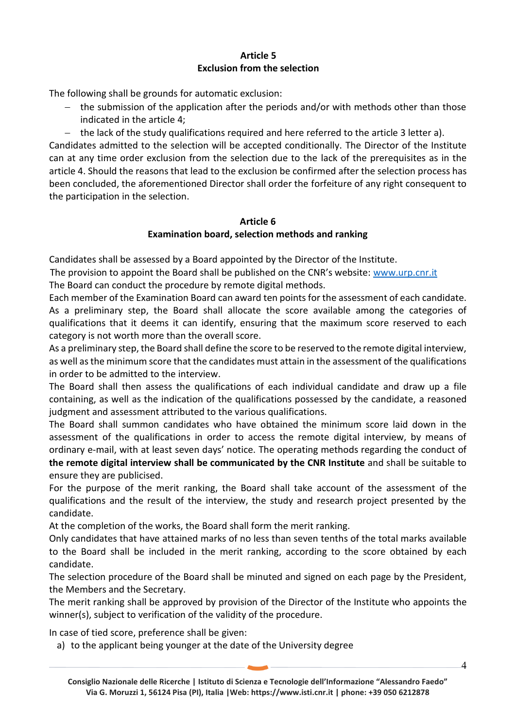## **Article 5 Exclusion from the selection**

The following shall be grounds for automatic exclusion:

- − the submission of the application after the periods and/or with methods other than those indicated in the article 4;
- − the lack of the study qualifications required and here referred to the article 3 letter a).

Candidates admitted to the selection will be accepted conditionally. The Director of the Institute can at any time order exclusion from the selection due to the lack of the prerequisites as in the article 4. Should the reasons that lead to the exclusion be confirmed after the selection process has been concluded, the aforementioned Director shall order the forfeiture of any right consequent to the participation in the selection.

## **Article 6 Examination board, selection methods and ranking**

Candidates shall be assessed by a Board appointed by the Director of the Institute.

The provision to appoint the Board shall be published on the CNR's website: [www.urp.cnr.it](http://www.urp.cnr.it/) The Board can conduct the procedure by remote digital methods.

Each member of the Examination Board can award ten points for the assessment of each candidate. As a preliminary step, the Board shall allocate the score available among the categories of qualifications that it deems it can identify, ensuring that the maximum score reserved to each category is not worth more than the overall score.

As a preliminary step, the Board shall define the score to be reserved to the remote digital interview, as well as the minimum score that the candidates must attain in the assessment of the qualifications in order to be admitted to the interview.

The Board shall then assess the qualifications of each individual candidate and draw up a file containing, as well as the indication of the qualifications possessed by the candidate, a reasoned judgment and assessment attributed to the various qualifications.

The Board shall summon candidates who have obtained the minimum score laid down in the assessment of the qualifications in order to access the remote digital interview, by means of ordinary e-mail, with at least seven days' notice. The operating methods regarding the conduct of **the remote digital interview shall be communicated by the CNR Institute** and shall be suitable to ensure they are publicised.

For the purpose of the merit ranking, the Board shall take account of the assessment of the qualifications and the result of the interview, the study and research project presented by the candidate.

At the completion of the works, the Board shall form the merit ranking.

Only candidates that have attained marks of no less than seven tenths of the total marks available to the Board shall be included in the merit ranking, according to the score obtained by each candidate.

The selection procedure of the Board shall be minuted and signed on each page by the President, the Members and the Secretary.

The merit ranking shall be approved by provision of the Director of the Institute who appoints the winner(s), subject to verification of the validity of the procedure.

In case of tied score, preference shall be given:

a) to the applicant being younger at the date of the University degree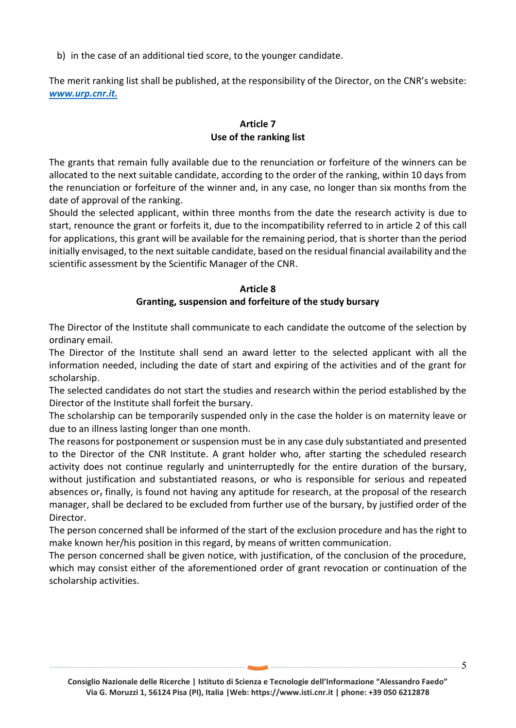b) in the case of an additional tied score, to the younger candidate.

The merit ranking list shall be published, at the responsibility of the Director, on the CNR's website: *[www.urp.cnr.it.](http://www.urp.cnr.it/)*

# **Article 7 Use of the ranking list**

The grants that remain fully available due to the renunciation or forfeiture of the winners can be allocated to the next suitable candidate, according to the order of the ranking, within 10 days from the renunciation or forfeiture of the winner and, in any case, no longer than six months from the date of approval of the ranking.

Should the selected applicant, within three months from the date the research activity is due to start, renounce the grant or forfeits it, due to the incompatibility referred to in article 2 of this call for applications, this grant will be available for the remaining period, that is shorter than the period initially envisaged, to the next suitable candidate, based on the residual financial availability and the scientific assessment by the Scientific Manager of the CNR.

### **Article 8 Granting, suspension and forfeiture of the study bursary**

The Director of the Institute shall communicate to each candidate the outcome of the selection by ordinary email.

The Director of the Institute shall send an award letter to the selected applicant with all the information needed, including the date of start and expiring of the activities and of the grant for scholarship.

The selected candidates do not start the studies and research within the period established by the Director of the Institute shall forfeit the bursary.

The scholarship can be temporarily suspended only in the case the holder is on maternity leave or due to an illness lasting longer than one month.

The reasons for postponement or suspension must be in any case duly substantiated and presented to the Director of the CNR Institute. A grant holder who, after starting the scheduled research activity does not continue regularly and uninterruptedly for the entire duration of the bursary, without justification and substantiated reasons, or who is responsible for serious and repeated absences or, finally, is found not having any aptitude for research, at the proposal of the research manager, shall be declared to be excluded from further use of the bursary, by justified order of the Director.

The person concerned shall be informed of the start of the exclusion procedure and has the right to make known her/his position in this regard, by means of written communication.

The person concerned shall be given notice, with justification, of the conclusion of the procedure, which may consist either of the aforementioned order of grant revocation or continuation of the scholarship activities.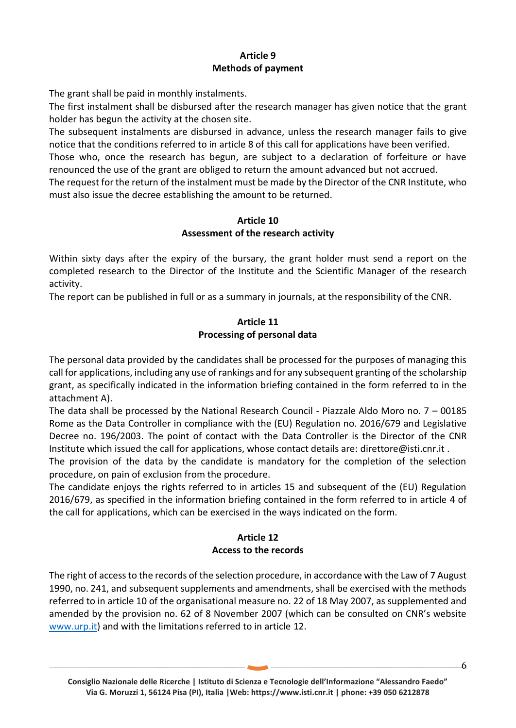# **Article 9 Methods of payment**

The grant shall be paid in monthly instalments.

The first instalment shall be disbursed after the research manager has given notice that the grant holder has begun the activity at the chosen site.

The subsequent instalments are disbursed in advance, unless the research manager fails to give notice that the conditions referred to in article 8 of this call for applications have been verified.

Those who, once the research has begun, are subject to a declaration of forfeiture or have renounced the use of the grant are obliged to return the amount advanced but not accrued.

The request for the return of the instalment must be made by the Director of the CNR Institute, who must also issue the decree establishing the amount to be returned.

# **Article 10 Assessment of the research activity**

Within sixty days after the expiry of the bursary, the grant holder must send a report on the completed research to the Director of the Institute and the Scientific Manager of the research activity.

The report can be published in full or as a summary in journals, at the responsibility of the CNR.

# **Article 11 Processing of personal data**

The personal data provided by the candidates shall be processed for the purposes of managing this call for applications, including any use of rankings and for any subsequent granting of the scholarship grant, as specifically indicated in the information briefing contained in the form referred to in the attachment A).

The data shall be processed by the National Research Council - Piazzale Aldo Moro no. 7 – 00185 Rome as the Data Controller in compliance with the (EU) Regulation no. 2016/679 and Legislative Decree no. 196/2003. The point of contact with the Data Controller is the Director of the CNR Institute which issued the call for applications, whose contact details are: direttore@isti.cnr.it .

The provision of the data by the candidate is mandatory for the completion of the selection procedure, on pain of exclusion from the procedure.

The candidate enjoys the rights referred to in articles 15 and subsequent of the (EU) Regulation 2016/679, as specified in the information briefing contained in the form referred to in article 4 of the call for applications, which can be exercised in the ways indicated on the form.

# **Article 12 Access to the records**

The right of access to the records of the selection procedure, in accordance with the Law of 7 August 1990, no. 241, and subsequent supplements and amendments, shall be exercised with the methods referred to in article 10 of the organisational measure no. 22 of 18 May 2007, as supplemented and amended by the provision no. 62 of 8 November 2007 (which can be consulted on CNR's website [www.urp.it\)](http://www.urp.it/) and with the limitations referred to in article 12.